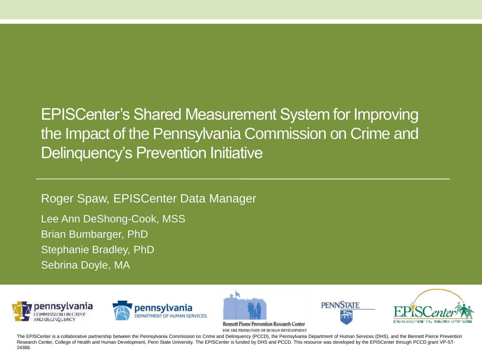EPISCenter's Shared Measurement System for Improving the Impact of the Pennsylvania Commission on Crime and Delinquency's Prevention Initiative

Roger Spaw, EPISCenter Data Manager Lee Ann DeShong-Cook, MSS Brian Bumbarger, PhD Stephanie Bradley, PhD Sebrina Doyle, MA











**Bennett Pierce Prevention Research Center** FOR THE PROMOTION OF HUMAN DEVELOPMENT

The EPISCenter is a collaborative partnership between the Pennsylvania Commission on Crime and Delinquency (PCCD), the Pennsylvania Department of Human Services (DHS), and the Bennett Pierce Prevention Research Center, College of Health and Human Development, Penn State University. The EPISCenter is funded by DHS and PCCD. This resource was developed by the EPISCenter through PCCD grant VP-ST-24368.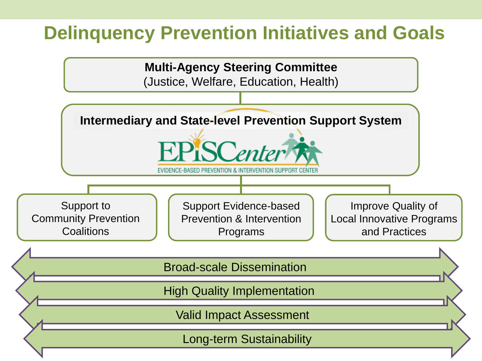### **Delinquency Prevention Initiatives and Goals**

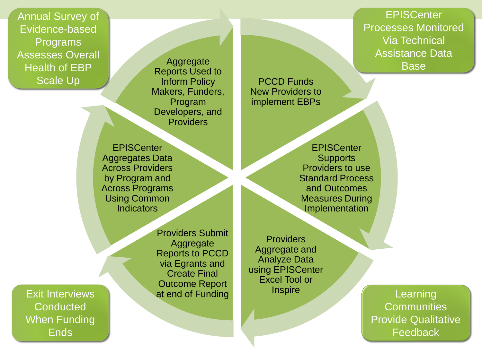Annual Survey of Evidence-based Programs Assesses Overall Health of EBP Scale Up

**Aggregate** Reports Used to Inform Policy Makers, Funders, Program Developers, and **Providers** 

PCCD Funds New Providers to implement EBPs

**EPISCenter** Aggregates Data Across Providers by Program and Across Programs Using Common **Indicators** 

Exit Interviews **Conducted** When Funding Ends

Providers Submit **Aggregate** Reports to PCCD via Egrants and Create Final Outcome Report at end of Funding

**Providers** Aggregate and Analyze Data using EPISCenter Excel Tool or **Inspire** 

Learning **Communities** Provide Qualitative **Feedback** 

**EPISCenter** Processes Monitored Via Technical Assistance Data Base

**EPISCenter Supports** Providers to use Standard Process and Outcomes Measures During Implementation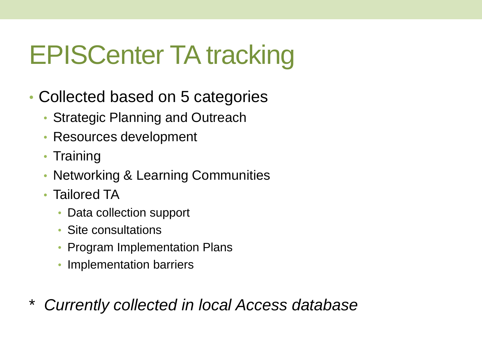# EPISCenter TA tracking

- Collected based on 5 categories
	- Strategic Planning and Outreach
	- Resources development
	- Training
	- Networking & Learning Communities
	- Tailored TA
		- Data collection support
		- Site consultations
		- Program Implementation Plans
		- Implementation barriers
- \* *Currently collected in local Access database*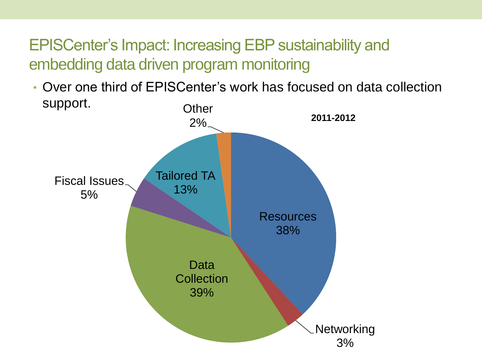• Over one third of EPISCenter's work has focused on data collection support. **Other** 

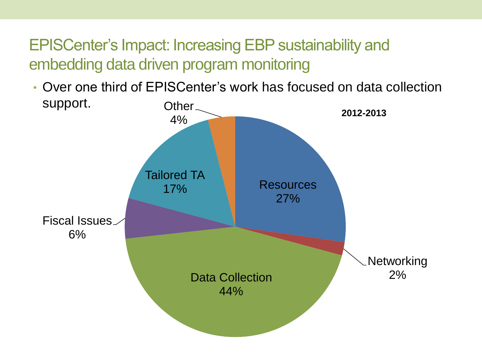• Over one third of EPISCenter's work has focused on data collection support. Other<sub>-</sub>

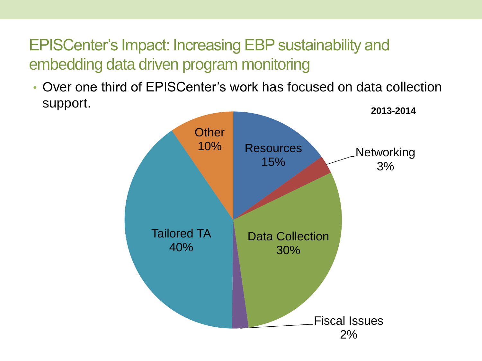• Over one third of EPISCenter's work has focused on data collection support.

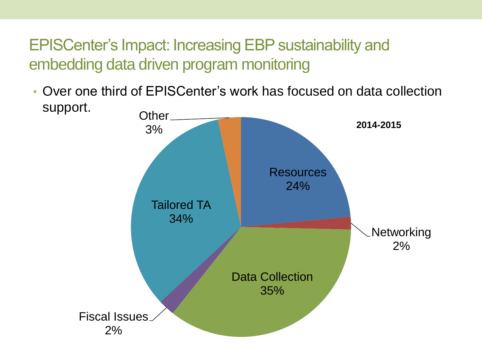• Over one third of EPISCenter's work has focused on data collection support.

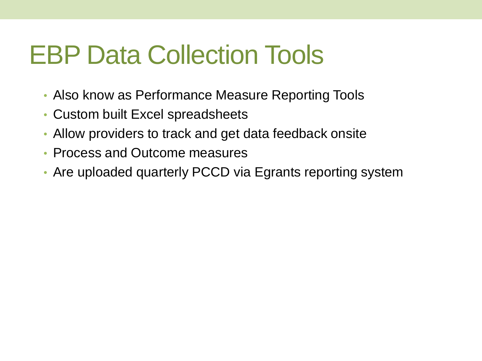# EBP Data Collection Tools

- Also know as Performance Measure Reporting Tools
- Custom built Excel spreadsheets
- Allow providers to track and get data feedback onsite
- Process and Outcome measures
- Are uploaded quarterly PCCD via Egrants reporting system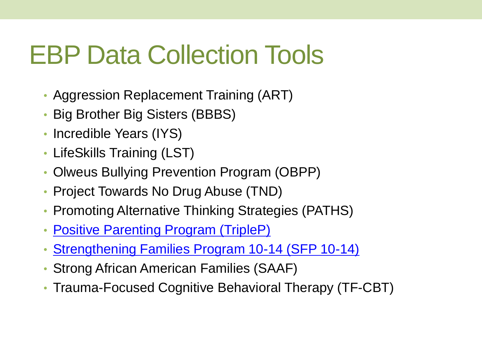# EBP Data Collection Tools

- Aggression Replacement Training (ART)
- Big Brother Big Sisters (BBBS)
- Incredible Years (IYS)
- LifeSkills Training (LST)
- Olweus Bullying Prevention Program (OBPP)
- Project Towards No Drug Abuse (TND)
- Promoting Alternative Thinking Strategies (PATHS)
- [Positive Parenting Program \(TripleP\)](TripleP-Data-Tool-ver1_04-04-2016.xlsx)
- [Strengthening Families Program 10-14 \(SFP 10-14\)](SFP_PMs_Ver_3-1_Qtrly_Report_Tool_1-6-2016.xlsm)
- Strong African American Families (SAAF)
- Trauma-Focused Cognitive Behavioral Therapy (TF-CBT)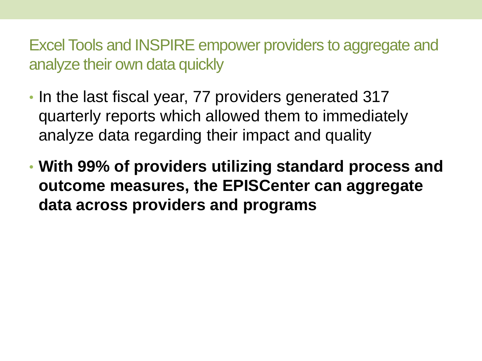Excel Tools and INSPIRE empower providers to aggregate and analyze their own data quickly

- In the last fiscal year, 77 providers generated 317 quarterly reports which allowed them to immediately analyze data regarding their impact and quality
- **With 99% of providers utilizing standard process and outcome measures, the EPISCenter can aggregate data across providers and programs**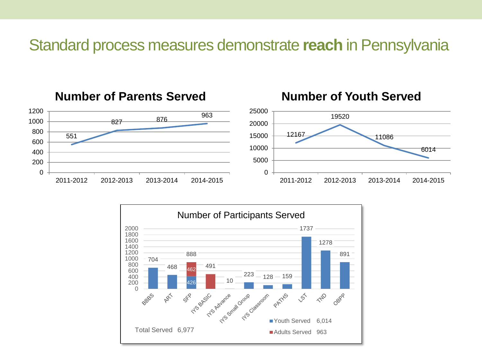#### Standard process measures demonstrate **reach** in Pennsylvania



#### **Number of Parents Served**



#### **Number of Youth Served**

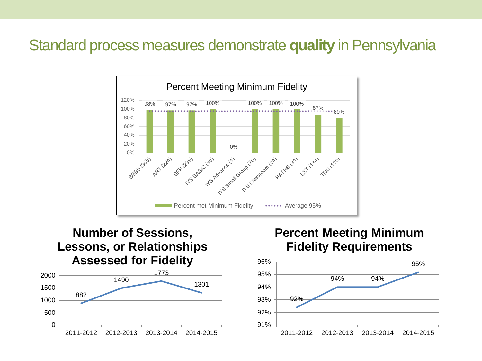#### Standard process measures demonstrate **quality** in Pennsylvania



#### 882 1490 1773 1301 0 500 1000 1500 2000 2011-2012 2012-2013 2013-2014 2014-2015 **Number of Sessions, Lessons, or Relationships Assessed for Fidelity**

#### **Percent Meeting Minimum Fidelity Requirements**

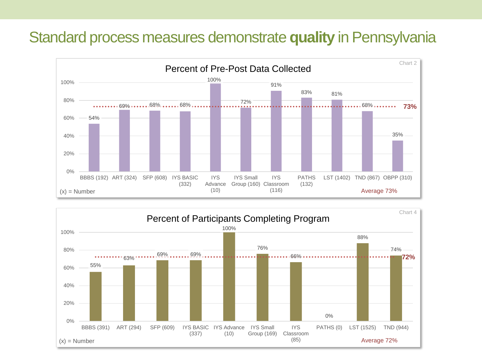#### Standard process measures demonstrate **quality** in Pennsylvania



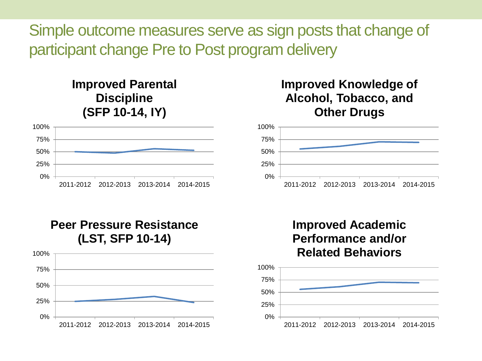Simple outcome measures serve as sign posts that change of participant change Pre to Post program delivery

#### **Improved Parental Discipline (SFP 10-14, IY)**



#### **Improved Knowledge of Alcohol, Tobacco, and Other Drugs**



**Peer Pressure Resistance (LST, SFP 10-14)**



#### **Improved Academic Performance and/or Related Behaviors**

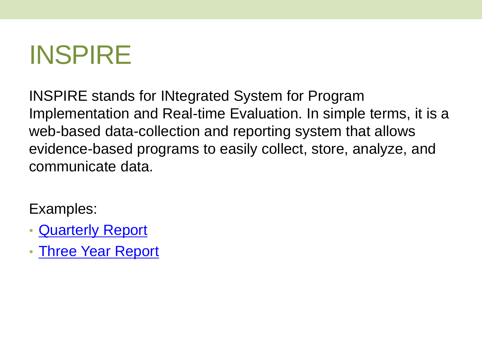# INSPIRE

INSPIRE stands for INtegrated System for Program Implementation and Real-time Evaluation. In simple terms, it is a web-based data-collection and reporting system that allows evidence-based programs to easily collect, store, analyze, and communicate data.

Examples:

- [Quarterly Report](FY-14-15-MST-Statewide.pdf)
- [Three Year Report](FFT-Three-Year-Report-FINAL.pdf)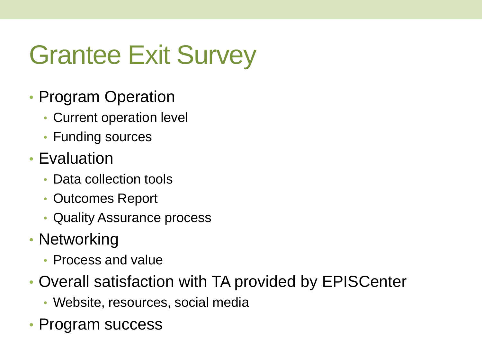# Grantee Exit Survey

- Program Operation
	- Current operation level
	- Funding sources
- Evaluation
	- Data collection tools
	- Outcomes Report
	- Quality Assurance process
- Networking
	- Process and value
- Overall satisfaction with TA provided by EPISCenter
	- Website, resources, social media
- Program success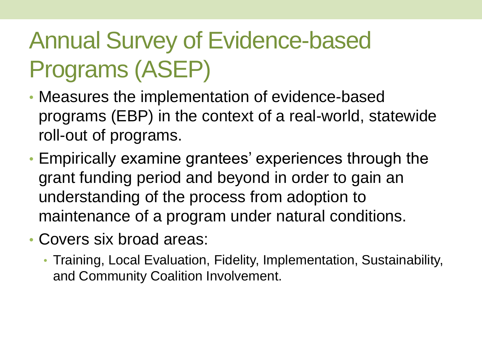## Annual Survey of Evidence-based Programs (ASEP)

- Measures the implementation of evidence-based programs (EBP) in the context of a real-world, statewide roll-out of programs.
- Empirically examine grantees' experiences through the grant funding period and beyond in order to gain an understanding of the process from adoption to maintenance of a program under natural conditions.
- Covers six broad areas:
	- Training, Local Evaluation, Fidelity, Implementation, Sustainability, and Community Coalition Involvement.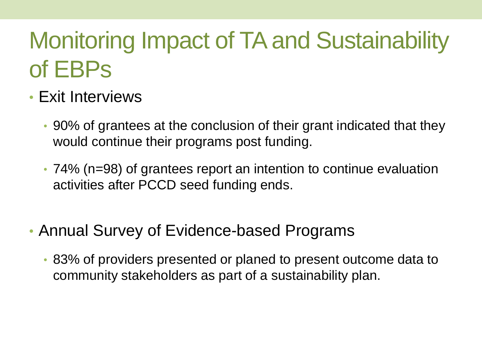## Monitoring Impact of TA and Sustainability of EBPs

- Exit Interviews
	- 90% of grantees at the conclusion of their grant indicated that they would continue their programs post funding.
	- 74% (n=98) of grantees report an intention to continue evaluation activities after PCCD seed funding ends.
- Annual Survey of Evidence-based Programs
	- 83% of providers presented or planed to present outcome data to community stakeholders as part of a sustainability plan.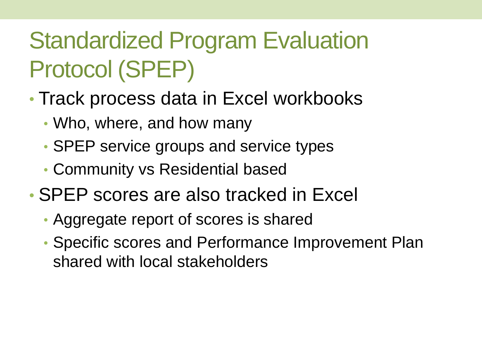## Standardized Program Evaluation Protocol (SPEP)

- Track process data in Excel workbooks
	- Who, where, and how many
	- SPEP service groups and service types
	- Community vs Residential based
- SPEP scores are also tracked in Excel
	- Aggregate report of scores is shared
	- Specific scores and Performance Improvement Plan shared with local stakeholders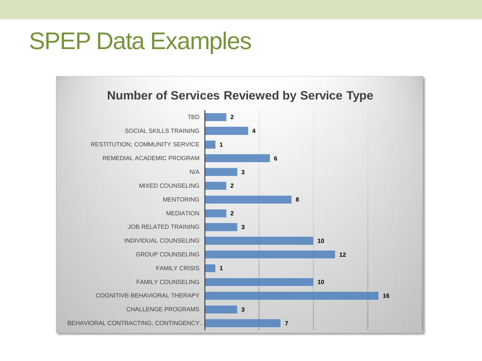## SPEP Data Examples

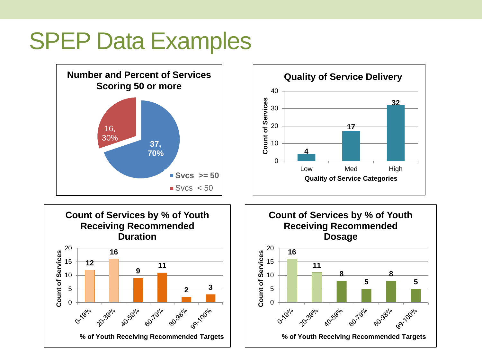## SPEP Data Examples

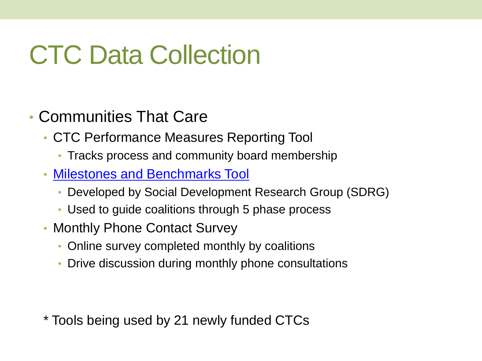# CTC Data Collection

- Communities That Care
	- CTC Performance Measures Reporting Tool
		- Tracks process and community board membership
	- [Milestones and Benchmarks Tool](Milestones & Benchmarks (Final).xls)
		- Developed by Social Development Research Group (SDRG)
		- Used to guide coalitions through 5 phase process
	- Monthly Phone Contact Survey
		- Online survey completed monthly by coalitions
		- Drive discussion during monthly phone consultations

\* Tools being used by 21 newly funded CTCs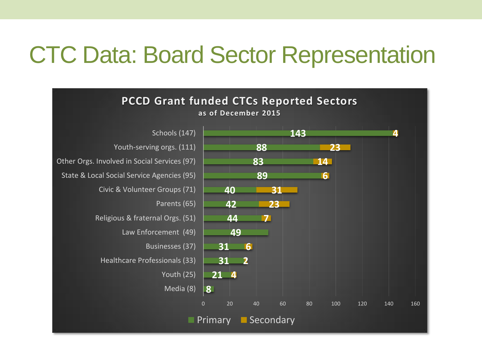## CTC Data: Board Sector Representation

![](_page_23_Figure_1.jpeg)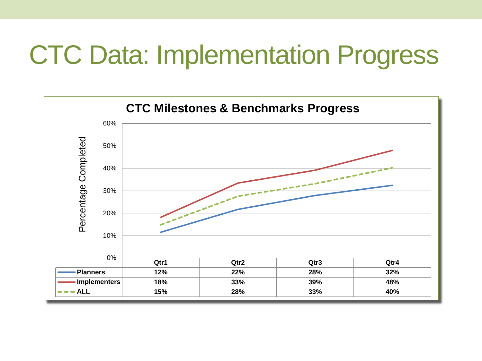# CTC Data: Implementation Progress

![](_page_24_Figure_1.jpeg)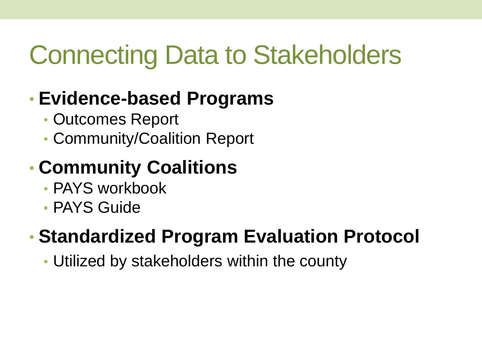# Connecting Data to Stakeholders

### • **Evidence-based Programs**

- Outcomes Report
- Community/Coalition Report

### • **Community Coalitions**

- PAYS workbook
- PAYS Guide

### • **Standardized Program Evaluation Protocol**

• Utilized by stakeholders within the county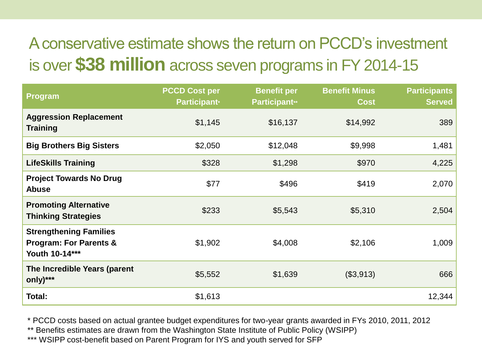### A conservative estimate shows the return on PCCD's investment is over **\$38 million** across seven programs in FY 2014-15

| <b>Program</b>                                                                       | <b>PCCD Cost per</b><br><b>Participant*</b> | <b>Benefit per</b><br><b>Participant**</b> | <b>Benefit Minus</b><br><b>Cost</b> | <b>Participants</b><br><b>Served</b> |
|--------------------------------------------------------------------------------------|---------------------------------------------|--------------------------------------------|-------------------------------------|--------------------------------------|
| <b>Aggression Replacement</b><br><b>Training</b>                                     | \$1,145                                     | \$16,137                                   | \$14,992                            | 389                                  |
| <b>Big Brothers Big Sisters</b>                                                      | \$2,050                                     | \$12,048                                   | \$9,998                             | 1,481                                |
| <b>LifeSkills Training</b>                                                           | \$328                                       | \$1,298                                    | \$970                               | 4,225                                |
| <b>Project Towards No Drug</b><br><b>Abuse</b>                                       | \$77                                        | \$496                                      | \$419                               | 2,070                                |
| <b>Promoting Alternative</b><br><b>Thinking Strategies</b>                           | \$233                                       | \$5,543                                    | \$5,310                             | 2,504                                |
| <b>Strengthening Families</b><br><b>Program: For Parents &amp;</b><br>Youth 10-14*** | \$1,902                                     | \$4,008                                    | \$2,106                             | 1,009                                |
| The Incredible Years (parent<br>only)***                                             | \$5,552                                     | \$1,639                                    | (\$3,913)                           | 666                                  |
| Total:                                                                               | \$1,613                                     |                                            |                                     | 12,344                               |

\* PCCD costs based on actual grantee budget expenditures for two-year grants awarded in FYs 2010, 2011, 2012

\*\* Benefits estimates are drawn from the Washington State Institute of Public Policy (WSIPP)

\*\*\* WSIPP cost-benefit based on Parent Program for IYS and youth served for SFP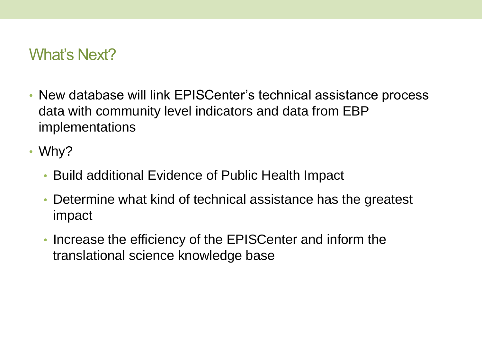#### What's Next?

- New database will link EPISCenter's technical assistance process data with community level indicators and data from EBP implementations
- Why?
	- Build additional Evidence of Public Health Impact
	- Determine what kind of technical assistance has the greatest impact
	- Increase the efficiency of the EPISCenter and inform the translational science knowledge base